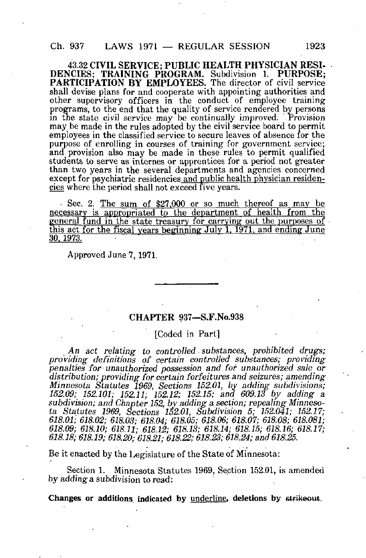## Ch. 937 LAWS 1971 — REGULAR SESSION 1923

43.32 CIVIL SERVICE; PUBLIC HEALTH PHYSICIAN RESI-DENCIES; TRAINING PROGRAM. Subdivision 1. PURPOSE; PARTICIPATION BY EMPLOYEES. The director of civil service shall devise plans for and cooperate with appointing authorities and other supervisory officers in the conduct of employee training programs, to the end that the quality of service rendered by persons in the state civil service may be continually improved. Provision may be made in the rules adopted by the civil service board to permit employees in the classified service to secure leaves of absence for the purpose of enrolling in courses of training for government service; and provision also may be made in these rules to permit qualified students to serve as internes or apprentices for a period not greater than two years in the several departments and agencies concerned except for psychiatric residencies and public health physician residencies where the period shall not exceed five years.

- Sec, 2. The sum of \$27.000 or so much thereof as may be necessary is appropriated to the department of health from the general fund in the state treasury for carrying out the purposes of this act for the fiscal years beginning July 1. 1971. and ending June 30.1973.

Approved June 7,1971.

### CHAPTER 937—S.F.No.938

# [Coded in Part]

An act relating to controlled substances, prohibited drugs; providing definitions of certain controlled substances; providing penalties for unauthorized possession and for unauthorized sale or distribution; providing for certain forfeitures and seizures; amending Minnesota Statutes 1969, Sections 152.01, by adding subdivisions; 152.09; 152.101; 152.11; 152.12; 152.15; and 609.13 by adding a subdivision; and Chapter 152, by adding a section; repealing Minnesota Statutes 1969, Sections 152.01, Subdivision 5; 152.041; 152.17; 618.01; 618.02; 618.03; 618.04; 618.05; 618.06; 618.07; 618.08; 618.081; 618.09; 618.10; 618.11; 618,12; 618.13; 618.14; 618.15; 618.16; 618.17; 618.18; 618.19; 618.20; 618.21; 618.22; 618.23; 618.24; and 618.25.

Be it enacted by the Legislature of the State of Minnesota:

Section 1. Minnesota Statutes 1969, Section 152.01, is amended by adding a subdivision to read: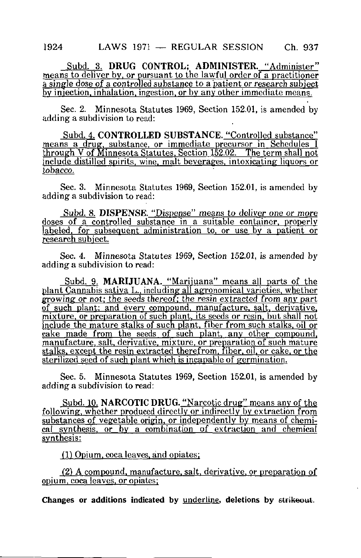Subd. 3. DRUG CONTROL; ADMINISTER. "Administer" means to deliver by. or pursuant to the lawful order of a practitioner a single dose of a controlled substance to a patient or research subject by imection. inhalation, ingestion. or by any other immediate means.

Sec. 2. Minnesota Statutes 1969, Section 152.01, is amended by adding a subdivision to read:

Subd. 4. CONTROLLED SUBSTANCE. "Controlled substance" means a drug, substance, or immediate precursor in Schedules I through V of Minnesota Statutes. Section 152.02. The term shall not include distilled spirits, wine, malt beverages, intoxicating liquors or

Sec. 3. Minnesota Statutes 1969, Section 152.01, is amended by adding a subdivision to read:

Subd. 8. DISPENSE. "Dispense" means to deliver one or more doses of a controlled substance in a suitable container, properly labeled, for subsequent administration to. or use by a patient or research subject.

Sec. 4. Minnesota Statutes 1969, Section 152.01, is amended by adding a subdivision to read:

Subd. 9. MARIJUANA. "Marijuana" means all parts of the plant Cannabis sativa L.. including all agronomical varieties, whether growing or not; the seeds thereof; the resin extracted from any part of such plant: and every compound, manufacture, salt, derivative, mixture, or preparation of such plant, its seeds or resin, but shall not <u>include the mature stalks of such plant, fiber from such stalks, oil or</u> cake made from the seeds of such plant, any other compound, manufacture, salt, derivative, mixture, or preparation of such mature stalks, except the resin extracted therefrom, fiber, oil, or cake, or the sterilized seed of such plant which is incapable of germination.

Sec. 5. Minnesota Statutes 1969, Section 152.01, is amended by adding a subdivision to read:

Subd. 10. NARCOTIC DRUG. "Narcotic drug" means any of the following, whether produced directly or indirectly by extraction from substances of vegetable origin, or independently by means of chemical synthesis, or by a combination of extraction and chemical synthesis:

(1) Opium, coca leaves, and opiates;

(2) A compound, manufacture, salt, derivative, or preparation of opium, coca leaves, or opiates: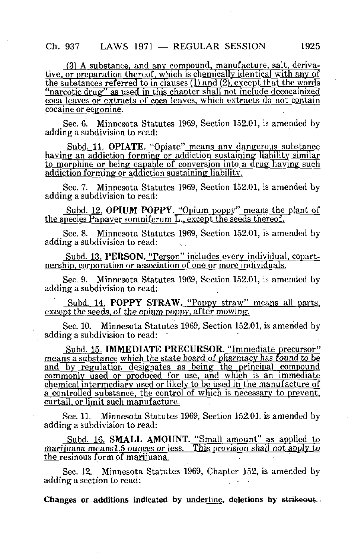(3) A substance, and anv compound, manufacture, salt, derivative, or preparation thereof, which is chemically identical with any of the substances referred to in clauses (1) and (2), except that the words "narcotic drug" as used in this chapter shall not include decocainized coca leaves or extracts of coca leaves, which extracts do not contain cocaine or ecgonine.

Sec. 6. Minnesota Statutes 1969, Section 152.01, is amended by adding a subdivision to read:

Subd. 11. OPIATE. "Opiate" means anv dangerous substance having an addiction forming or addiction sustaining liability similar to morphine or being capable of conversion into a drug having such addiction forming or addiction sustaining liability.

Sec. 7. Minnesota Statutes 1969, Section 152.01, is amended by adding a subdivision to read:

Subd. 12. OPIUM POPPY. "Opium poppy" means the plant of the species Papaver somniferum  $\overline{\text{L}}$  except the seeds thereof.

Sec. 8. Minnesota Statutes 1969, Section 152.01, is amended by adding a subdivision to read:

Subd. 13. PERSON. "Person" includes every individual, copartnership, corporation or association of one or more individuals.

Sec. 9. Minnesota Statutes 1969, Section 152.01, is amended by adding a subdivision to read:

Subd. 14. POPPY STRAW. "Poppy straw" means all parts, except the seeds, of the opium poppy, after mowing.

Sec. 10. Minnesota Statutes 1969, Section 152.01, is amended by adding a subdivision to read: \*

Subd. 15. IMMEDIATE PRECURSOR. "Immediate precursor" means a substance which the state board of pharmacy has found to be and by regulation designates as being the principal compound commonly used or produced for use, and which is an immediate chemical intermediary used or likely to be used in the manufacture of a controlled substance, the control of which is necessary to prevent, curtail, or limit such manufacture.

Sec. 11. Minnesota Statutes 1969, Section 152.01, is amended by adding a subdivision to read:

Subd. 16. SMALL AMOUNT. "Small amount" as applied to marijuana meansl.5 ounges or less. This provision shall not apply to the resinous form of marijuana.

Sec. 12. Minnesota Statutes 1969, Chapter 152, is amended by adding a section to read: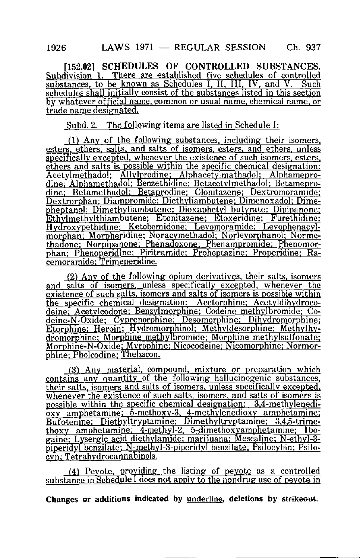[152.02] SCHEDULES OF CONTROLLED SUBSTANCES.<br>Subdivision 1. There are established five schedules of controlled There are established five schedules of controlled substances, to be known as Schedules I, II, III, IV, and V. Such schedules shall initially consist of the substances listed in this section by whatever official name, common or usual name, chemical name, or trade name designated.

### Subd. 2. The following items are listed in Schedule 1:

 $(1)$  Any of the following substances, including their isomers. esters, ethers, salts, and salts of isomers, esters, and ethers, unless specifically excepted, whenever the existence of such isomers, esters, ethers and salts is possible within the specific chemical designation: Acetvlmethadol: Allylprodine; Alphacetvlmathadol: Alphameprodine; Alphamethadol; Benzethidine; Betacetylmethadol; Betameprodine; Betamethadol: Betaprodine; Clonitazene; Dextromoramide: Dextrorphan; Diampromide: Diethyliambutene; Dimenoxadol; Dimepheptanol; Dimethyliambutene; Dioxaphetyl butyrate; Dipipanone; Ethylmethylthiambutene; Etonitazene; Etoxeridine; Furethidine; Hydroxypethidine: Ketobemidone; Levomoramide; Levophenacylmorphan; Morpheridine: Noracymethadol; Norlevorphanol; Normethadone: Norpipanone: Phenadoxone: Phenampromide: Phenomorphan: Phenoperidine; Piritramide; Proheptazine; Properidine; Racemoramide: Trimeperidine.

(2) Any of the following opium derivatives, their salts, isomers and salts of isomers. unless specifically excepted. whenever the existence of such salts, isomers and salts of isomers is possible within the specific chemical designation: Acetorphine: Acetyldihvdrocodeine; Acetylcodone; Benzylmorphine; Codeine methylbromide: Codeine-N-Oxide; Cvprenorphine; Desomorphine: Dihvdromorphine: Etorphine: Heroin: Hydromorphinol; Metnvldesorphine: Metnylhydromorphine: Morphine methvlbromide; Morphine methylsulfonate: Morphine-N-Oxide: Mvrophine; Nicocodeine: Nicomorphine: Normorphine: Pholcodine: Thebacon.

(3) Any material, compound, mixture or preparation which contains any quantity of the following hallucinogenic substances, their salts, isomers and salts of isomers, unless specifically excepted. whenever the existence of such salts, isomers, and salts of isomers is possible within the specific chemical designation: 3.4-methvlenedioxy amphetamine: 5-methoxy-3. 4-methvlenedioxv amphetamine: Bufotenine; Diethvltryptamine; Dimethyltryptamine: 3.4.5-trimethoxy amphetamine: 4-methvl-2. 5-dimethoxyamphetamine; Ibogaine; Lysergic acid diethylamide; marijuana; Mescaline; N-ethyl-3piperidyl benzilate: N-methyl-3-piperidvl benzilate; Psilocvbin: Psilocvn: Tetrahydrocannabinols.

^4) Pevote. providing the listing of pevote as a controlled substance in Schedule I does not apply to the nondrug use of pevote in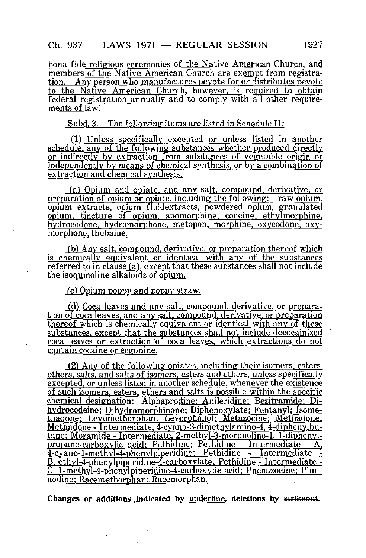bona fide religious ceremonies of the Native American Church, and members of the Native American Church are exempt from registration. Any person who manufactures peyote for or distributes peyote to the Native American Church, however, is required to obtain federal registration annually and to comply with all other requirements of law.

Subd. 3. The following items are listed in Schedule II:

(1) Unless specifically excepted or unless listed in another schedule, any of the following substances whether produced directly or indirectly by extraction from substances of vegetable origin or independently by means of chemical synthesis, or by a combination of extraction and chemical synthesis:

(a) Opium and opiate, and any salt, compound, derivative, or preparation of opium or opiate, including the following: raw opium, opium extracts, opium fluidextracts, powdered opium, granulated opium, tincture of opium, apomorphine, codeine, ethyImorphine. hydrocodone. hvdromorphone. metopon. morphine, oxycodone. oxvmorphone. thebaine.

(b) Any salt, compound, derivative, or preparation thereof which is chemically equivalent or identical with any of the substances referred to in clause (a), except that these substances shall not include  $\overline{\text{the}}$  isoquinoline alkaloids of opium.

#### $f(c)$  Opium poppy and poppy straw.

(d) Coca leaves and any salt, compound, derivative, or preparation of coca leaves, and any salt, compound, derivative, or preparation thereof which is chemically equivalent or identical with any of these substances, except that the substances shall not include decocainized coca leaves or extraction of coca leaves, which extractions do not contain cocaine or ecgonine.

(2) Any of the following opiates, including their isomers, esters, ethers, salts, and salts of isomers. esters and ethers, unless specjficallv excepted, or unless listed in another schedule, whenever the existence of such isomers, esters, ethers and salts is possible within the specific chemical designation: Alphaprodine; Anileridine: Bezitramide: Dihvdrocodeine: Dihydromorphinone: Diphenoxylate; Fentanvl; Isomethadone; Levomethorphan; Levorphanol; Metazocine; Methadone; Methadone - Intermediate, 4-cvano-2-dimethylamino-4. 4-diphenylbutane; Moramide - Intermediate, 2-methyl-3-morpholino-1, 1-diphenylpropane-carboxylic acid; Pethidine: Pethidine - Intermediate - A, 4-cvano-l-metnvl-4-phenvlpiperidine: Pethidine - Intermediate - B. ethyl-4-phenylpiperidine-4-carboxyIate: Pethidine - Intermediate - C. 1-methyl-4-phenylpiperidine-4-carboxylic acid; Phenazocine; Piminodine: Racemethorphan: Racemorphan.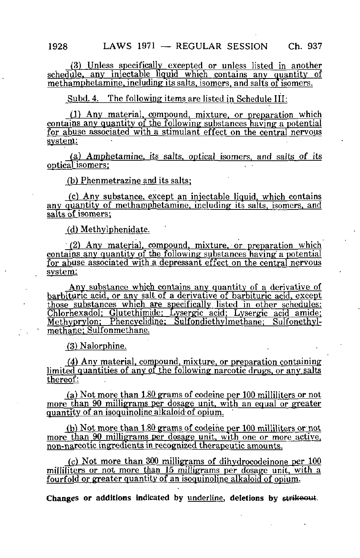(3) Unless specifically excepted or unless listed in another schedule, any iniectable liquid which contains any quantity of methamphetamine, including its salts, isomers, and salts of isomers.

Subd. 4. The following items are listed in Schedule III:

\_(1) Any material, compound, mixture, or preparation which contains any quantity of the following substances having a potential for abuse associated with a stimulant effect on the central nervous system:

fa) Amphetamine, its salts, optical isomers. and salts of its optical isomers:

 $(b)$  Phenmetrazine and its salts;

 $(c)$  Any substance, except an injectable liquid, which contains any quantity of methamphetamine, including its salts, isomers, and  $s$ alts of isomers;

(d) Methylphenidate.

\_{2) Any material, compound, mixture, or preparation which contains any quantity of the following substances having a potential for abuse associated with a depressant effect on the central nervous system:

Any substance which contains any quantity of a derivative of barbituric acid, or any salt\_of a derivative of barbituric acid, except those substances which are specifically listed in other schedules: Chlorhexadol; Glutethimide: Lysergic acid: Lysergic acid amide: Methyprylon; Phencvclidjne; Sulfondiethylmethane: Sulfonethylmethane; Sulfonmethane.

(3) Nalorphine.

\_{4) Any material, compound, mixture, or preparation containing limited quantities of any of the following narcotic drugs, or any salts thereof:

 $(a)$  Not more than 1.80 grams of codeine per 100 milliliters or not more than 90 milligrams per dosage unit, with an equal or greater quantity of an isoquinoline alkaloid of opium.

(b) Not more than 1.80 grams of codeine per 100 milliliters or not more than 90 milligrams per dosage unit, with one or more active. non-narcotic ingredients in recognized therapeutic amounts.

 $\zeta$ ) Not more than  $300$  milligrams of dihydrocodeinone per 100 milliliters or not more than 15 milligrams per dosage unit, with a fourfold or greater quantity of an isoquinoline alkaloid of opium,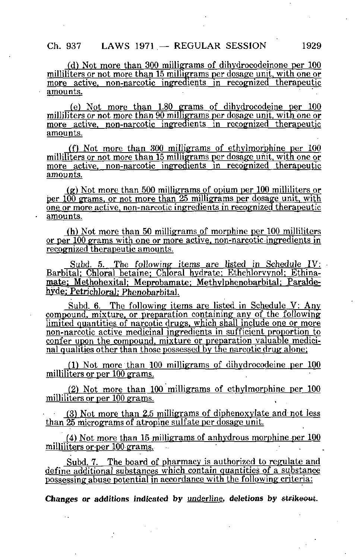### $Ch. 937$  LAWS 1971 — REGULAR SESSION 1929

fd) Not more than 300 milligrams of dihydrocodeinone per 1QO milliliters or not more than 15 milligrams per dosage unit, with one or more active, non-narcotic ingredients in recognized therapeutic<br>amounts. amounts.

(e) Not more than 1.80 grams of dihydrocodeine per 100 milliliters or not more than 90 milligrams per dosage unit, witn one or more active, non-narcotic ingredients in recognized therapeutic amounts.

(f) Not more than  $300$  milligrams of ethylmorphine per  $100$ milliliters or not more than 15 milligrams per dosage unit, with one or more active, non-narcotic ingredients in recognized therapeutic amounts.

 $(g)$  Not more than 500 milligrams of opium per 100 milliliters or per 100 grams, or not more than 25 milligrams per dosage unit, with one^or more active, non-narcotic ingredients in recognized therapeutic amounts.

fh) Not more than 50 milligrams of morphine per 100 milliliters or per 100 grams with one or more active, non-narcotic ingredients in recognized therapeutic amounts.

Subd. 5. The following items are listed in Schedule IV: Barbital: Chloral betaine: Chloral hydrate: Ethchlorvynol; Ethinamate; Methohexital: Meprobamate: Methylphenobarbital; Paraldehvde: FetrichloraJ: Phenobarbital.

Subd. 6. The following items are listed in Schedule V: Any compound, mixture, or preparation containing any of the following limited quantities of narcotic drugs, which shall include one or more non-narcotic active medicinal ingredients in sufficient proportion to confer upon the compound, mixture or preparation valuable medicinal qualities other than those possessed by the narcotic drug alone:

(1) Not more than 100 milligrams of dihydrocodeine per 100 milliliters or per 100 grams.

(2) Not more than 100 milligrams of ethvlmorphine per 100 milliliters or per 100 grams.

(3) Not more than 2.5 milligrams of diphenoxvlate and not less than 25 micrograms of atropine sulfate per dosage unit.

(4) Not more than 15 milligrams of anhydrous morphine per 100  $milli$  liters or per  $100$  grams.

Subd. 7. The board of pharmacy is authorized to regulate and define additional substances which contain quantities of a substance possessing abuse potential in accordance with the following criteria: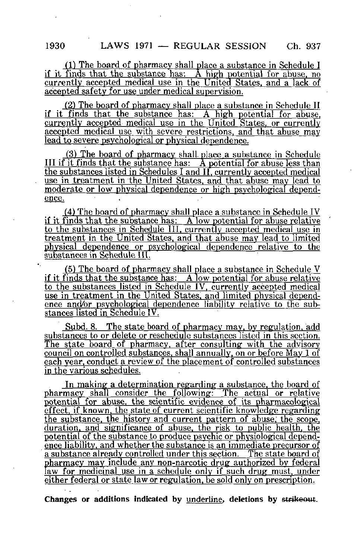(1) The board of pharmacy shall place a substance in Schedule I if it finds that the substance has: A high potential for abuse, no currently accepted medical use in the United States, and a lack of accepted safety for use under medical supervision.

(2) The board of pharmacy shall place a substance in Schedule II if it finds that the substance has: A high potential for abuse, currently accepted medical use in the United States, or currently accepted medical use with severe restrictions, and that abuse may lead to severe psychological or physical dependence.

(3) The board of pharmacy shall place a substance in Schedule III if it finds that the substance has: A potential for abuse less than the substances listed in Schedules I and II. currently accepted medical use in treatment in the United States, and that abuse may lead to moderate or low physical dependence or high psychological dependence.

(4) The board of pharmacy shall place a substance in Schedule IV if it finds that the substance has: A low potential for abuse relative to the substances in Schedule III, currently accepted medical use in treatment in the United States, and that abuse may lead to limited physical dependence or psychological dependence relative to the substances in Schedule III.

(5) The board of pharmacy shall place a substance in Schedule V if it finds that the substance has: A low potential for abuse relative to the substances listed in Schedule IV, currently accepted medical use in treatment in the United States, and limited physical dependence and/or psychological dependence liability relative to the substances listed in Schedule IV.

Subd. 8. The state board of pharmacy may, by regulation, add substances to or delete or reschedule substances listed in this section. The state board of pharmacy, after consulting with the advisory council on controlled substances, shall annually, on or before May 1 of each year, conduct a review of the placement of controlled substances in the various schedules.

In making a determination regarding a substance, the board of pharmacy shall consider the following: The actual or relative potential for abuse, the scientific evidence of its pharmacological effect, if known, the state of current scientific knowledge regarding the substance, the history and current pattern of abuse, the scope, duration, and significance of abuse, the risk to public health, the potential of the substance to produce psychic or physiological dependence liability, and whether the substance is an immediate precursor of a substance already controlled under this section. The state board of pharmacy may include any non-narcotic drug authorized by federal law for medicinal use in a schedule only if such drug must, under either federal or state law or regulation, be sold only on prescription.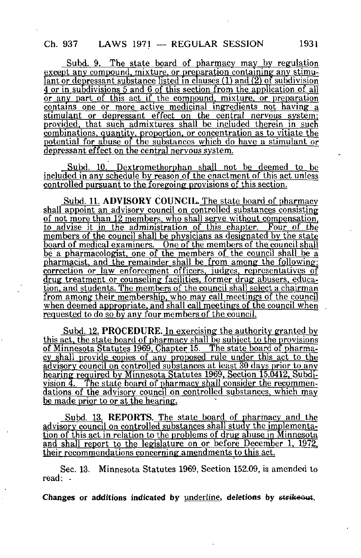Subd. 9. The state board of pharmacy may by regulation except any compound, mixture, or preparation containing any stimulant or depressant substance listed in clauses (1) and (2) of subdivision 4 or in subdivisions 5 and 6 of this section from the application of all or any part of this act if the compound, mixture, or preparation contains one or more active medicinal ingredients not having a stimulant or depressant effect on the central nervous system: provided, that such admixtures shall be included therein in such combinations, quantity, proportion, or concentration as to vitiate the potential for abuse of the substances which do have a stimulant or depressant effect on the central nervous system.

Subd. 10. Dextromethorphan shall not be deemed to be included in any schedule by reason of the enactment of this act unless controlled pursuant to the foregoing provisions of this section.

Subd. 11. ADVISORY COUNCIL. The state board of pharmacy shall appoint an advisory council on controlled substances consisting of not more than 12 members, who shall serve without compensation, to advise it in the administration of this chapter. Four of the members of the council shall be physicians as designated by the state board of medical examiners. One of the members of the council shall be a pharmacologist, one of the members of the council shall be a pharmacist, and the remainder shall be from among the following: correction or law enforcement officers, judges, representatives of drug treatment or counseling facilities, former drug abusers. educa^ tion. and students. The members of the council shall select a chairman from among their membership, who may call meetings of the council when deemed appropriate, and shall call meetings of the council when requested to do so by any four members of the council.

Subd. 12. PROCEDURE. In exercising the authority granted by this act, the state board of pharmacy shall be subject to the provisions of Minnesota Statutes 1969. Chapter 15. The state board of pharmacy shall provide copies of any proposed rule under this act to the advisory council on controlled substances at least 30 days prior to any hearing required bv Minnesota Statutes 1969. Section 15.0412. Subdivision 4. The state board of pharmacy shall consider the recommendations of the advisory council on controlled substances, which may be made prior to or at the hearing.

Subd. 13. REPORTS. The state board of pharmacy and the advisory council on controlled substances shall study the implementation of this act in relation to the problems of drug abuse in Minnesota and shall report to the legislature on or before December 1. 1972, their recommendations concerning amendments to this act.

Sec. 13. Minnesota Statutes 1969, Section 152.09, is amended to read: •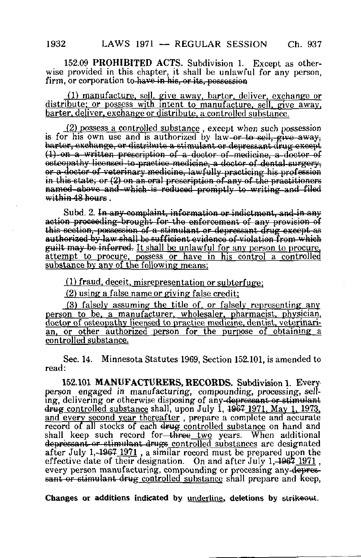152.09 PROHIBITED ACTS. Subdivision 1. Except as otherwise provided in this chapter, it shall be unlawful for any person, firm, or corporation to have in his, or its, possession

(1) manufacture, sell, give away, barter, deliver, exchange or distribute; or possess with intent to manufacture, sell, give away, barter, deliver, exchange or distribute, a controlled substance.

(2) possess a controlled substance , except when such possession is for his own use and is authorized by law-or to sell, give away, barter, exchange, or distribute a stimulant or depressant drug except (l)-on a written prescription of a doctor of-medicine, a doctor of osteopathy licensed to practice medicine, a doctor of-dental-surgery, or a-doctor-of veterinary medicine, lawfully practicing-his profession in this state; or (3) on an oral proscription of any of the practitioners named above and which is reduced promptly to writing and filed within 48 hours.

Subd. 2. In any complaint, information or indictment, and in any action proceeding brought for tho enforcement of any provision of this section, possession of a stimulant or depressant drug except as authorized by law shall be sufficient evidence of violation from which guilt may be inferred. It shall be unlawful for any person to procure, attempt to procure, possess or have in his control a controlled substance by any of the following means;

(1) fraud, deceit, misrepresentation or subterfuge:

(2) using a false name or giving false credit:

(3) falsely assuming the title of. or falsely representing any person to be, a manufacturer, wholesaler, pharmacist, physician, doctor of osteopathy licensed to practice medicine, dentist, veterinarian, or other authorized person for the purpose of obtaining a controlled substance.

Sec. 14. Minnesota Statutes 1969, Section 152.101, is amended to read:

152.101 MANUFACTURERS, RECORDS. Subdivision 1. Every person engaged in manufacturing, compounding, processing, selling, delivering or otherwise disposing of any depressant or stimulant  $\frac{1}{4\pi\epsilon}$  controlled substance shall, upon July 1,  $\frac{1967}{1971}$ , May 1, 1973, and every second year thereafter , prepare a complete and accurate record of all stocks of each drug controlled substance on hand and shall keep such record for<del> three two years. Wh</del>en additional depressant or stimulant drugs controlled substances are designated after July 1,-1967  $1971$ , a similar record must be prepared upon the effective date of their designation. On and after July  $1, -1967$ ,  $1971$ , every person manufacturing, compounding or processing any-depressant or stimulant drug controlled substance shall prepare and keep,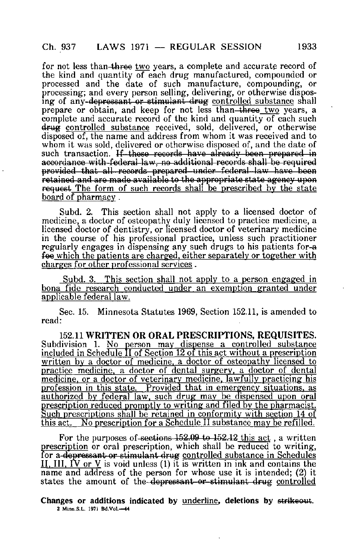for not less than-three two years, a complete and accurate record of the kind and quantity of each drug manufactured, compounded or processed and the date of such manufacture, compounding, or processing; and every person selling, delivering, or otherwise disposing of any-depressant or stimulant drug controlled substance shall prepare or obtain, and keep for not less than-three two years, a complete and accurate record of the kind and quantity of each such drug controlled substance received, sold, delivered, or otherwise disposed of, the name and address from whom it was received and to whom it was sold, delivered or otherwise disposed of, and the date of such transaction. If these records have already been prepared in accordance with-federal law, no additional records shall be required provided that all records prepared under federal law have been retained and are made available to the appropriate state agency upon request The form of such records shall be prescribed by the state board of pharmacy .

Subd. 2. This section shall not apply to a licensed doctor of medicine, a doctor of osteopathy duly licensed to practice medicine, a licensed doctor of dentistry, or licensed doctor of veterinary medicine in the course of his professional practice, unless such practitioner regularly engages in dispensing any such drugs to his patients for-a fee which the patients are charged, either separately or together with charges for other professional services .

Subd. 3. This section shall not apply to a person engaged in bona fide research conducted under an exemption granted under applicable federal law.

Sec. 15. Minnesota Statutes 1969, Section 152.11, is amended to read:

152.11 WRITTEN OR ORAL PRESCRIPTIONS, REQUISITES. Subdivision 1. No person may dispense a controlled substance included in Schedule  $\overline{II}$  of Section 12 of this act without a prescription written by a doctor of medicine, a doctor of osteopathy licensed to practice medicine, a doctor of dental surgery, a doctor of dental medicine, or a doctor of veterinary medicine, lawfully practicing his profession in this state. Provided that in emergency situations, as authorized by federal law, such drug may be dispensed upon oral prescription reduced promptly to writing and filed by the pharmacist.<br>Such prescriptions shall be retained in conformity with section 14 of uch prescriptions shall be retained in conformity with section 14 of this act. No prescription for a Schedule II substance may be refilled.

For the purposes of-sections  $152.09$  to  $152.12$  this act, a written prescription or oral prescription, which shall be reduced to writing, for a depressant or stimulant drug controlled substance in Schedules II, III. IV or  $V$  is void unless (1) it is written in ink and contains the name and address of the person for whose use it is intended; (2) it states the amount of the-<del>depressant or stimulant drug</del> controlled

Changes or additions indicated by underline, deletions by strikeout. 2 Minn.S.L. 1971 Bd.Vol.—M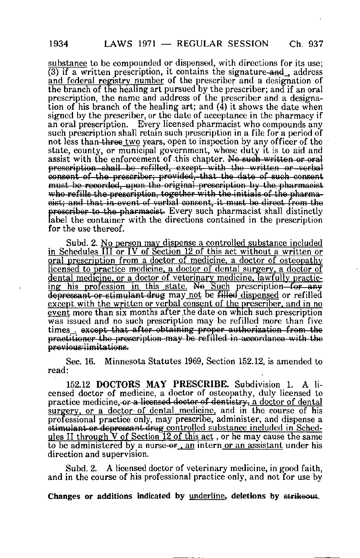substance to be compounded or dispensed, with directions for its use;  $(3)$  if a written prescription, it contains the signature-and, address and federal registry number of the prescriber and a designation of the branch of the healing art pursued by the prescriber; and if an oral prescription, the name and address of the prescriber and a designation of his branch of the healing art; and  $(4)$  it shows the date when signed by the prescriber, or the date of acceptance in the pharmacy if an oral prescription. Every licensed pharmacist who compounds any such prescription shall retain such prescription in a file for a period of not less than-three two years, open to inspection by any officer of the state, county, or municipal government, whose duty it is to aid and assist with the enforcement of this chapter. No such written or oral prescription shall be refilled, except with the written or-verbal consent of the prescriber; provided, that the date of such consent must be recorded, upon the- original prescription by the, pharmacist who refills the prescription, together with the initials of the pharmaoist; and that in ovont of verbal consent, it must bo direct from tho prescriber to the pharmacist. Every such pharmacist shall distinctly abel the container with the directions contained in the prescription for the use thereof.

Subd. 2. No person may dispense a controlled substance included in Schedules III or IV of Section 12 of this act without a written or oral prescription from a doctor of medicine, a doctor of osteopathy licensed to practice medicine, a doctor of dental surgery, a doctor of dental medicine, or a doctor of veterinary medicine, lawfully practicing his profession in this state. Ne Such prescription—for any depressant or stimulant drug may not be filled dispensed or refilled except with the written or verbal consent of the prescriber, and in no event more than six months after,the date on which such prescription was issued and no such prescription may be refilled more than five times except that after obtaining proper authorization from the practitioner the prescription-may be refilled in-accordance with the previous-limitations.

Sec. 16. Minnesota Statutes 1969, Section 152.12, is amended to read:

152.12 DOCTORS MAY PRESCRIBE. Subdivision 1. A licensed doctor of medicine, a doctor of osteopathy, duly licensed to practice medicine, or a licensed doctor of dentistry, a doctor of dental surgery, or a doctor of dental medicine, and in the course of his professional practice only, may prescribe, administer, and dispense a stimulant-or-depressant dru<u>g controlled substance included in Sche</u>d-<u>ules II through V of Section 12 of this act</u> , or he may cause the same to be administered by a nurse-or, an intern or an assistant under his direction and supervision.

Subd. 2. A licensed doctor of veterinary medicine, in good faith, and in the course of his professional practice only, and not for use by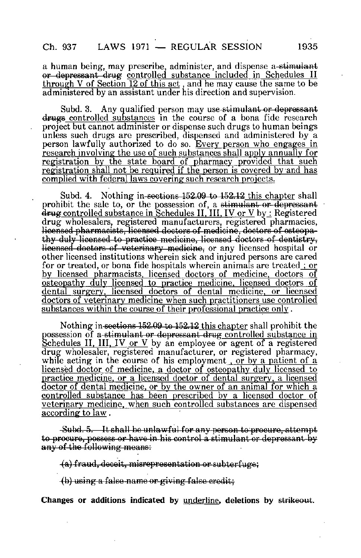a human being, may prescribe, administer, and dispense a stimulant or depressant drug controlled substance included in Schedules II through V of Section  $\overline{12}$  of this act, and he may cause the same to be administered by an assistant under his direction and supervision.

Subd. 3. Any qualified person may use stimulant or depressant drugs controlled substances in the course of a bona fide research project but cannot administer or dispense such drugs to human beings unless such drugs are prescribed, dispensed and administered by a person lawfully authorized to do so. Every person who engages in research involving the use of such substances shall apply annually for registration by the state board of pharmacy provided that such registration shall not be required if the person is covered by and has complied with federal laws covering such research projects.

Subd. 4. Nothing in-sections 152.09 to 152.12 this chapter shall prohibit the sale to, or the possession of, a stimulant or depressant  $d$ ru<u>g controlled substance in Schedules II. III. IV or V</u> by $\pm$  Registered drug wholesalers, registered manufacturers, registered pharmacies, licensed pharmacists, licensed doctors of medicine, doctors of osteopathy duly licensed to practice medicine, licensed doctors of dentistry, licensed doctors of veterinary medicine, or any licensed hospital or other licensed institutions wherein sick and injured persons are cared for or treated, or bona fide hospitals wherein animals are treated ; or by licensed pharmacists, licensed doctors of medicine, doctors of osteopathy duly licensed to practice medicine, licensed doctors of dental surgery, licensed doctors of dental medicine, or licensed doctors of veterinary medicine when such practitioners use controlled substances within the course of their professional practice only.

Nothing in sections 152.09 to 152.12 this chapter shall prohibit the possession of a-stimulant or depressant drug controlled substance in Schedules II. III. IV or V by an employee or agent of a registered drug wholesaler, registered manufacturer, or registered pharmacy, while acting in the course of his employment, or by a patient of a licensed doctor of medicine, a doctor of osteopathy duly licensed to practice medicine, or a licensed doctor of dental surgery, a licensed doctor of dental medicine, or by the owner of an animal for which a controlled substance has been prescribed by a licensed doctor of veterinary medicine, when such controlled substances are dispensed according to law .

Subd. 5. It shall be unlawful for any person to procure, attempt to procure, possess or have in-his control a stimulant or depressant by any of the following means:

 $(a)$  fraud, deceit, misrepresentation or subterfuge;

(b) using a fake-name or giving false credit;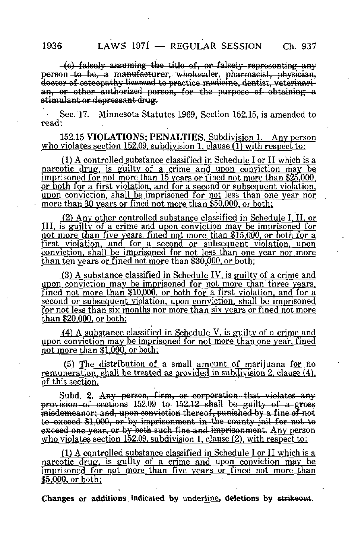1936 LAWS 1971 — REGULAR SESSION Ch. 937

 $-(e)$  falsely assuming the title of, or falsely representing any person to be, a manufacturer, wholesaler, pharmacist, physician, doctor of osteopathy licensed to practice medicine, dentist, veterinarian, or other authorized person, for the purpose of obtaining a stimulant or depressant drug.

Sec. 17. Minnesota Statutes 1969, Section 152.15, is amended to read:

152.15 VIOLATIONS; PENALTIES. Subdivision 1. Any person who violates section 152.09, subdivision 1, clause  $\overline{(1)}$  with respect to:

(1) A controlled substance classified in Schedule I or II which is a narcotic drug, is guilty of a crime and upon conviction may be imprisoned for not more than 15 years or fined not more than \$25,000, or both for a first violation, and for a second or subsequent violation, upon conviction, shall be imprisoned for not less than one year nor more than 30 years or fined not more than \$50.000. or both:

(2) Any other controlled substance classified in Schedule I. II. or III, is guilty of a crime and upon conviction may be imprisoned for not more than five years, fined not more than \$15.000. or both for a first violation, and for a second or subsequent violation, upon conviction, shall be imprisoned for not less than one year nor more than ten years or fined not more than \$30,000, or both;

(3) A substance classified in Schedule IV. is guilty of a crime and upon conviction may be imprisoned for not more than three years, fined not more than  $$10,000$ , or both for a first violation, and for a second or subsequent violation, upon conviction, shall be imprisoned for not less than six months nor more than six years or fined not more than \$20.000. or both:

14) A substance classified in Schedule V. is guilty of a crime and upon conviction may be imprisoned for not more than one year, fined not more than Sl.OOO. or both:

(5) The distribution of a small amount of marijuana fox no remuneration, shall be treated as provided in subdivision 2, clause  $\overline{(4)}$ . of this section.

Subd. 2. Any person, firm, or corporation that violates any provision of sections 152.09 to 152.13 shall bo guilty of a gross misdemeanor; and, upon conviction thereof, punished by a fine of not  $\uparrow$  -exceed-\$1,000, or by imprisonment in the county jail for not to exceed one year, or by both such fine and imprisonment. Any person who violates section 152.09, subdivision 1, clause (2), with respect to:

(1) A controlled substance classified in Schedule I or II which is a narcotic drug, is guilty of a crime and upon conviction may be imprisoned for not more than five years or fined not more than \$5,000, or both;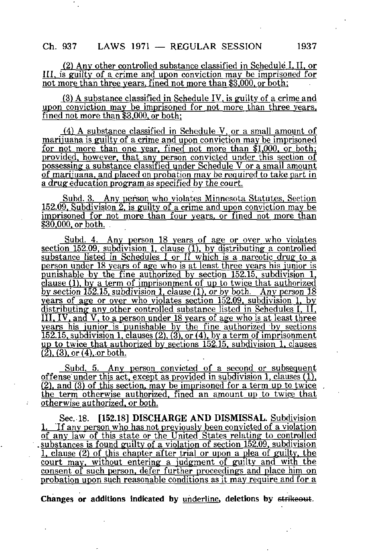(2) Any other controlled substance classified in Schedule I. II. or III, is guilty of a crime and upon conviction may be imprisoned for not more than three years, fined not more than \$3,000, or both;

(3) A substance classified in Schedule IV, is guilty of a crimeand upon conviction may be imprisoned for not more than three years. fined not more than \$3,000, or both;

(4) A substance classified in Schedule V, or a small amount of marijuana is guilty of a crime and upon conviction may be imprisoned for not more than one year, fined not more than \$1,000, or both; provided, however, that any person convicted under this section of possessing a substance classified under Schedule V or a small amount of marijuana, and placed on probation may be required to take part in a drug education program as specified by the court.

Subd. 3. Any person who violates Minnesota Statutes. Section 152.09. Subdivision 2. is guilty of a crime and upon conviction may be imprisoned for not more than four years, or fined not more than  $\overline{$30.000}$ , or both.

Subd. 4. Any person 18 years of age or over who violates section 152.09. subdivision 1. clause (1). by distributing a controlled substance listed in Schedules I or II which is a narcotic drug to a person under 18 years of age who is at least three years his junior is punishable bv the fine authorized by section 152.15. subdivision 1. clause (1), by a term of imprisonment of up to twice that authorized by section 152.15, subdivision 1, clause  $(1)$ , or by both. Any person  $18$ years of age or over who violates section 152.09, subdivision 1, by distributing any other controlled substance listed in Schedules I. II. III. IV. and V. to a person under 18 years of age who is at least three years his junior is punishable by the fine authorized by sections  $152.15$ , subdivision 1. clauses (2). (3), or (4), by a term of imprisonment up to twice that authorized bv sections 152.15. subdivision 1. clauses  $(2), (3),$  or  $(4),$  or both.

Subd. 5. Any person convicted of a second or subsequent offense under this act, except as provided in subdivision 1. clauses (1).  $(2)$ , and  $(3)$  of this section, may be imprisoned for a term up to twice the term otherwise authorized, fined an amount up to twice that otherwise authorized, or both.

 $\mathbf{r}$ 

Sec. 18. [152.18] DISCHARGE AND DISMISSAL. Subdivisjon 1. If any person who has not previously been convicted of a violation of any law of this state or the United States relating to controlled .substances is found guilty of a violation of section 152.09. subdivision 1. clause (2) of this chapter after trial or upon a plea of guilty, the court mav. without entering a judgment of guilty and with the consent of such person, defer further proceedings and place him on probation upon such reasonable conditions as it mav require and for a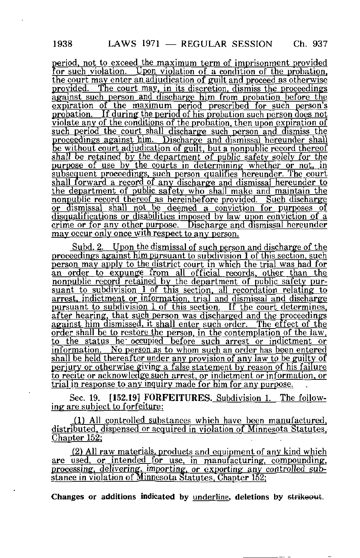period, not to exceed the maximum term of imprisonment provided for such violation. Upon violation of a condition of the probation, the court may enter an adjudication of guilt and proceed as otherwise provided. The court may, in its discretion, dismiss the proceedings against such person and discharge him from probation before the expiration of the maximum period prescribed for such person's probation. If during the period of his probation such person does not violate any of the conditions of the probation, then upon expiration of such period the court shall discharge such person and dismiss the proceedings against him. Discharge and dismissal hereunder shall be without court adjudication of guilt, but a nonpublic record thereof shall be retained by the department of public safety solely for the purpose of use bv the courts in determining whether or not, in subsequent proceedings, such person qualifies hereunder. The court shall forward a record of any discharge and dismissal hereunder to the department of public safety who shall make and maintain the nonpublic record thereof as hereinbefore provided. Such discharge or dismissal shall not be deemed a conviction for purposes of disqualifications or disabilities imposed by law upon conviction of a crime or for any other purpose. Discharge and dismissal hereunder may occur only once with respect to any person.

Subd. 2. Upon the dismissal of such person and discharge of the proceedings against him pursuant to subdivision 1 of this section, such person may apply to the district court in which the trial was had for an order to expunge from all official records, other than the nonpublic record retained by the department of public safety pursuant to subdivision 1 of this section, all recordation relating to arrest, indictment or information, trial and dismissal and discharge pursuant to subdivision 1 of this section. If the court determines, after hearing, that such person was discharged and the proceedings against him dismissed, it shall enter such order. The effect of the order shall be to restore the person, in the contemplation of the law, to the status he' occupied before such arrest or indictment or information. No person as to whom such an order has been entered shall be held thereafter under any provision of any law to be guilty of perjury or otherwise giving a false statement bv reason of his failure to recite or acknowledge such arrest, or indictment or information, or trial in response to anv inquiry made for him for anv purpose.

Sec. 19. [152.19] FORFEITURES. Subdivision 1. The following are subject to forfeiture:

(1) All controlled substances which have been manufactured, distributed, dispensed or acquired in violation of Minnesota Statutes. Chapter 152:

(2) All raw materials, products and equipment of\_any kind which are used, or intended for use, in manufacturing, compounding. processing, delivering, importing, or exporting any controlled substance in violation of Minnesota Statutes. Chapter 152;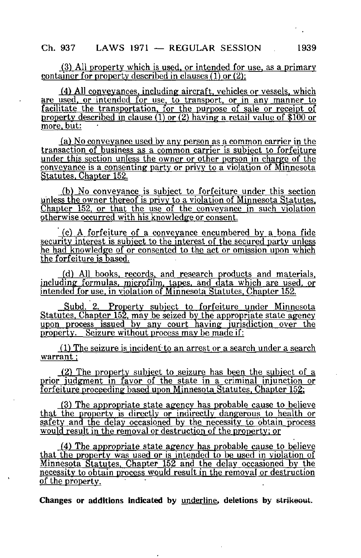(3) All property which is used, or intended for use, as a primary container for property described in clauses (1) or (2);

(4) All conveyances, including aircraft, vehicles or vessels, which are used, or intended for use, to transport, or in any manner to facilitate the transportation, for the purpose of sale or receipt of property described in clause (1) or (2) having a retail value of \$100 or more, but:

(a). No conveyance used by any person as a common carrier in the transaction of business as a common carrier is subject to forfeiture under this section unless the owner or other person in charge of the conveyance is a consenting party or privy to a violation of Minnesota Statutes. Chapter 152.

(b) No conveyance is subject to forfeiture under this section unless the owner thereof is privy to a violation of Minnesota Statutes. Chapter 152. or that the use of the conveyance in such violation otherwise occurred with his\_knowledge or consent.

(c). A forfeiture of a conveyance encumbered by a bona fide security interest is subject to the interest of the secured party unless he had knowledge of or consented to the act or omission upon which the forfeiture is based.

(d) All books, records, and research products and materials, including formulas, microfilm, tapes, and data which are used, or intended for use, in violation of Minnesota Statutes. Chapter 152.

Subd. 2. Property subject to forfeiture under Minnesota Statutes. Chapter 152. may be seized by the appropriate state agency upon process issued by any court having jurisdiction over the property. Seizure without process may be made if:

(1) The seizure is incident'to an arrest or a search under a search warrant:

(2) The property subject to seizure has been the subject of a prior judgment in favor of\_ the state in a criminal injunction or forfeiture proceeding based upon Minnesota Statutes. Chapter 152;

(3) The appropriate state agency has probable cause to believe that the property is directly or indirectly dangerous to health or safety and the delay occasioned by the necessity to obtain process would result in the removal or destruction of the property; or

(4) The appropriate state agency has probable cause to believe that the property was used or is intended to be used in violation of Minnesota Statutes. Chapter 152 and the delay occasioned by the necessity to obtain process would result in the removal or destruction of the property. '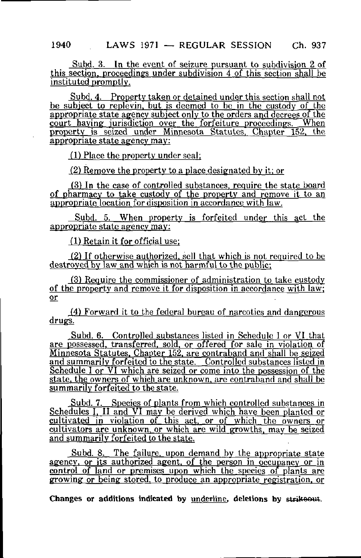Subd. 3. In the event of seizure pursuant to subdivision 2 of this section, proceedings under subdivision 4 of this section shall be instituted promptly.

Subd. 4. Property taken or detained under this section shall not be subject to replevin, but is deemed to be in the custody of the appropriate state agency subject only to the orders and decrees of the court haying jurisdiction over the forfeiture proceedings. When property is seized under Minnesota Statutes. Chapter 152. the appropriate state agency may:

 $f(1)$  Place the property under seal:

(2) Remove the property to a place designated by it; or

(3) In the case of controlled substances, require the state board of pharmacy to take custody of the property and remove it to an appropriate location for disposition in accordance with law.

Subd. 5. When property is forfeited under this act the appropriate state agency may:

(1) Retain it for official use:

(2) If otherwise authorized, sell that which is not required to be destroyed by law and which is not harmful to the public;

(3) Require the commissioner of administration to take custody of the property and remove it for disposition in accordance with law; or

 $(4)$  Forward it to the federal bureau of narcotics and dangerous drugs.

Subd. 6. Controlled substances listed in Schedule I or VI that are possessed, transferred, sold, or offered for sale in violation of Minnesota Statutes. Chapter 152. are\_contraband and shall be seized and summarily forfeited to the state. Controlled substances listed in Schedule I or VI which are seized or come into the possession of the state, the owners of which are unknown, are contraband and shall be summarily forfeited to the state.

Subd. 7. Species of plants from which controlled substances in Schedules I. II and VI may be derived which have been planted or cultivated in violation of this act, or of which the owners or  $\overline{\text{cultivators}}$  are unknown, or which are wild growths, may be seized and summarily forfeited to the state.

Subd. 8. The failure, upon demand by the appropriate state agency, or its authorized agent, of the person in occupancy or in control of land or premises upon which the species of plants are growing or being stored, to produce an appropriate registration, or